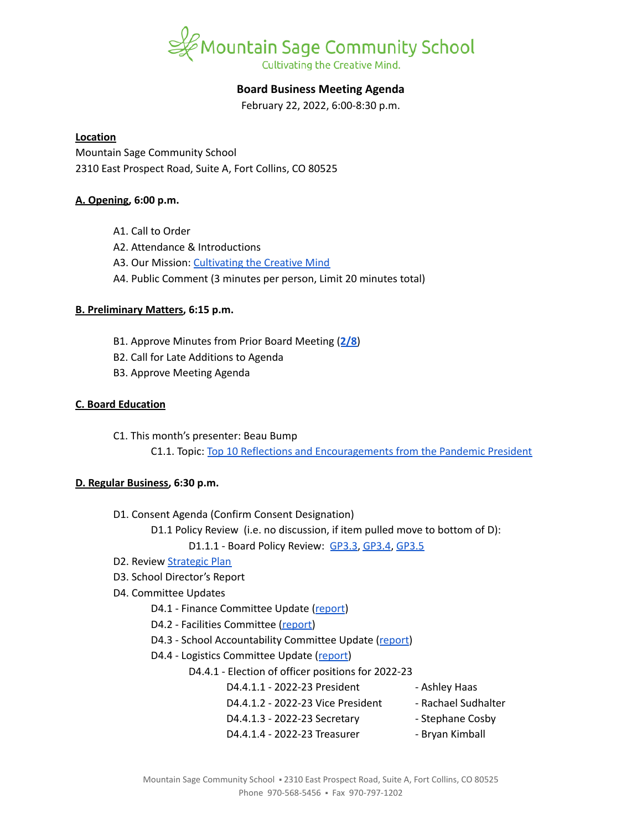

# **Board Business Meeting Agenda**

February 22, 2022, 6:00-8:30 p.m.

#### **Location**

Mountain Sage Community School 2310 East Prospect Road, Suite A, Fort Collins, CO 80525

# **A. Opening, 6:00 p.m.**

- A1. Call to Order
- A2. Attendance & Introductions
- A3. Our Mission: [Cultivating](https://www.mountainsage.org/about-us/mission-and-vision/) the Creative Mind
- A4. Public Comment (3 minutes per person, Limit 20 minutes total)

# **B. Preliminary Matters, 6:15 p.m.**

- B1. Approve Minutes from Prior Board Meeting (**[2/8](https://docs.google.com/document/d/12XCBcVeYIh7SjadFvv-kUeqm-PdO6t3JXl-TqQZ-O8c)**)
- B2. Call for Late Additions to Agenda
- B3. Approve Meeting Agenda

# **C. Board Education**

C1. This month's presenter: Beau Bump

C1.1. Topic: Top 10 Reflections and [Encouragements](https://docs.google.com/presentation/d/1CQ7IxUQ66NaeMYtji1tx4-SfVzy5pBDH/edit?usp=sharing&ouid=112269595831504441268&rtpof=true&sd=true) from the Pandemic President

# **D. Regular Business, 6:30 p.m.**

- D1. Consent Agenda (Confirm Consent Designation)
	- D1.1 Policy Review (i.e. no discussion, if item pulled move to bottom of D):

D1.1.1 - Board Policy Review: [GP3.3](https://docs.google.com/document/d/1rCNyuUn-oRMQUnt7UX3Ur8rkx1Y8x7-CkbfRWeG56kU), [GP3.4,](https://docs.google.com/document/d/1S_NJ1Y2QkeIt_9twvGFgt8U5tNM_vUfzIgtN4Gj1ssY) [GP3.5](https://docs.google.com/document/d/1IIf1tHKXPf4ho9PP65iWjBb79Ln2vDhJquUAo8Co65A)

- D2. Review [Strategic](https://docs.google.com/spreadsheets/d/1RR7z4DQ0Oq8Z29iw-TRpzfxcoDyemB4IFJY4Hpq8Y_k/edit?usp=sharing) Plan
- D3. School Director's Report
- D4. Committee Updates
	- D4.1 Finance Committee Update ([report](https://docs.google.com/document/d/15nltCttZm9l509HekUil_3A65mnNcexF_jTDuYbzSQI/edit?usp=sharing))
	- D4.2 Facilities Committee [\(report\)](https://docs.google.com/document/d/1S-G0dK240wJ-JTNj4fseaBdHub6oTLUaXowbXt4MsdM/edit?usp=sharing)
	- D4.3 School Accountability Committee Update [\(report](https://docs.google.com/document/d/1Gp6T4tTV08uQXg8qwNA8_YlbtGgQ2rsKkTTvCQCd3cU/edit?usp=sharing))
	- D4.4 Logistics Committee Update ([report](https://docs.google.com/document/d/1UEHRU8jpdnlqKxqVgYXOXnR96q7gH-yFy_xx9H8e-Fc/edit?usp=sharing))
		- D4.4.1 Election of officer positions for 2022-23
			- D4.4.1.1 2022-23 President Ashley Haas
			- D4.4.1.2 2022-23 Vice President Rachael Sudhalter
			- D4.4.1.3 2022-23 Secretary Stephane Cosby
			- D4.4.1.4 2022-23 Treasurer Bryan Kimball
	- Mountain Sage Community School = 2310 East Prospect Road, Suite A, Fort Collins, CO 80525 Phone 970-568-5456 · Fax 970-797-1202